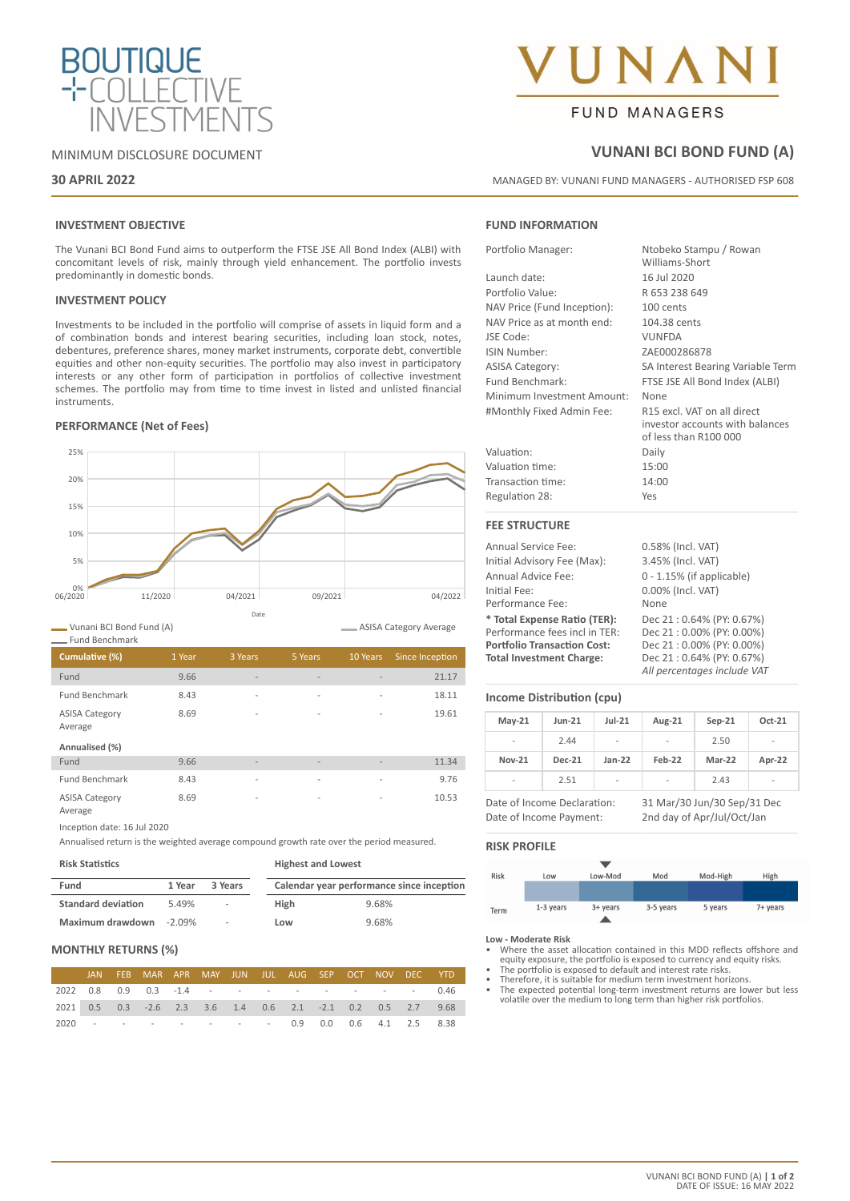

#### MINIMUM DISCLOSURE DOCUMENT

#### **30 APRIL 2022**

# NAM **FUND MANAGERS**

### **VUNANI BCI BOND FUND (A)**

MANAGED BY: VUNANI FUND MANAGERS - AUTHORISED FSP 608

#### **INVESTMENT OBJECTIVE**

The Vunani BCI Bond Fund aims to outperform the FTSE JSE All Bond Index (ALBI) with concomitant levels of risk, mainly through yield enhancement. The portfolio invests predominantly in domestic bonds.

#### **INVESTMENT POLICY**

Investments to be included in the portfolio will comprise of assets in liquid form and a of combination bonds and interest bearing securities, including loan stock, notes, debentures, preference shares, money market instruments, corporate debt, convertible equities and other non-equity securities. The portfolio may also invest in participatory interests or any other form of participation in portfolios of collective investment schemes. The portfolio may from time to time invest in listed and unlisted financial instruments.

#### **PERFORMANCE (Net of Fees)**



Vunani BCI Bond Fund (A) Fund Benchmark

ASISA Category Average

| Cumulative (%)                   | 1 Year | 3 Years                  | 5 Years                  | 10 Years                 | Since Inception |
|----------------------------------|--------|--------------------------|--------------------------|--------------------------|-----------------|
| Fund                             | 9.66   | $\overline{\phantom{a}}$ | $\overline{\phantom{a}}$ | $\overline{\phantom{a}}$ | 21.17           |
| <b>Fund Benchmark</b>            | 8.43   | $\overline{\phantom{a}}$ | $\overline{\phantom{a}}$ | $\overline{a}$           | 18.11           |
| <b>ASISA Category</b><br>Average | 8.69   | $\overline{\phantom{a}}$ | $\overline{\phantom{a}}$ | $\overline{\phantom{a}}$ | 19.61           |
| Annualised (%)                   |        |                          |                          |                          |                 |
| Fund                             | 9.66   | $\overline{\phantom{a}}$ | $\overline{\phantom{a}}$ | $\overline{\phantom{a}}$ | 11.34           |
| <b>Fund Benchmark</b>            | 8.43   | $\overline{\phantom{a}}$ | $\overline{\phantom{a}}$ | $\overline{\phantom{a}}$ | 9.76            |

ASISA Category Average

Inception date: 16 Jul 2020

Annualised return is the weighted average compound growth rate over the period measured.

#### **Risk Statistics**

8.69 - - - - - - 10.53

| Fund                      | 3 Years<br>1 Year |        | Calendar year performance since inception |       |  |
|---------------------------|-------------------|--------|-------------------------------------------|-------|--|
| <b>Standard deviation</b> | 5.49%             | ۰      | High                                      | 9.68% |  |
| Maximum drawdown          | $-2.09\%$         | $\sim$ | Low                                       | 9.68% |  |

#### **MONTHLY RETURNS (%)**

|  | JAN FEB MAR APR MAY JUN JUL AUG SEP OCT NOV DEC YTD                      |  |  |  |  |  |
|--|--------------------------------------------------------------------------|--|--|--|--|--|
|  | 2022  0.8  0.9  0.3  -1.4  -  -  -  -  -  - - - - - - 0.46               |  |  |  |  |  |
|  | 2021  0.5  0.3  -2.6  2.3  3.6  1.4  0.6  2.1  -2.1  0.2  0.5  2.7  9.68 |  |  |  |  |  |
|  | 2020 - - - - - - - - 0.9 0.0 0.6 4.1 2.5 8.38                            |  |  |  |  |  |

#### **FUND INFORMATION**

| Portfolio Manager:          | Ntobeko Stampu / Rowan<br>Williams-Short                                                |
|-----------------------------|-----------------------------------------------------------------------------------------|
| Launch date:                | 16 Jul 2020                                                                             |
| Portfolio Value:            | R 653 238 649                                                                           |
| NAV Price (Fund Inception): | 100 cents                                                                               |
| NAV Price as at month end:  | 104.38 cents                                                                            |
| JSE Code:                   | <b>VUNFDA</b>                                                                           |
| ISIN Number:                | ZAE000286878                                                                            |
| <b>ASISA Category:</b>      | SA Interest Bearing Variable Term                                                       |
| Fund Benchmark:             | FTSE JSE All Bond Index (ALBI)                                                          |
| Minimum Investment Amount:  | None                                                                                    |
| #Monthly Fixed Admin Fee:   | R15 excl. VAT on all direct<br>investor accounts with balances<br>of less than R100 000 |
| Valuation:                  | Daily                                                                                   |
| Valuation time:             | 15:00                                                                                   |
| Transaction time:           | 14:00                                                                                   |
| Regulation 28:              | Yes                                                                                     |
| <b>FEE STRUCTURE</b>        |                                                                                         |
| Annual Service Fee:         | 0.58% (Incl. VAT)                                                                       |
| Initial Advisory Fee (Max): | 3.45% (Incl. VAT)                                                                       |

Annual Advice Fee: 0 - 1.15% (if applicable) Initial Fee: 0.00% (Incl. VAT)<br>
Performance Fee: None Performance Fee: **\* Total Expense Ratio (TER):** Dec 21 : 0.64% (PY: 0.67%) Performance fees incl in TER: Dec 21 : 0.00% (PY: 0.00%)<br> **Portfolio Transaction Cost:** Dec 21 : 0.00% (PY: 0.00%) **Portfolio Transaction Cost: Total Investment Charge:** Dec 21 : 0.64% (PY: 0.67%) *All percentages include VAT*

#### **Income Distribution (cpu)**

| $May-21$                 | <b>Jun-21</b> | $Jul-21$                 | Aug-21                   | $Sep-21$ | Oct-21                   |
|--------------------------|---------------|--------------------------|--------------------------|----------|--------------------------|
| $\overline{\phantom{a}}$ | 2.44          | $\overline{\phantom{a}}$ | $\overline{\phantom{a}}$ | 2.50     | $\overline{\phantom{a}}$ |
| <b>Nov-21</b>            | <b>Dec-21</b> | $Jan-22$                 | Feb-22                   | Mar-22   | Apr-22                   |
| $\overline{\phantom{a}}$ | 2.51          | $\overline{\phantom{a}}$ | $\overline{\phantom{a}}$ | 2.43     | $\overline{\phantom{a}}$ |

Date of Income Declaration: 31 Mar/30 Jun/30 Sep/31 Dec Date of Income Payment: 2nd day of Apr/Jul/Oct/Jan

#### **RISK PROFILE**



- **Low Moderate Risk** Where the asset allocation contained in this MDD reflects offshore and equity exposure, the portfolio is exposed to currency and equity risks. • The portfolio is exposed to default and interest rate risks.
- Therefore, it is suitable for medium term investment horizons.
- The expected potential long-term investment returns are lower but less volatile over the medium to long term than higher risk portfolios.